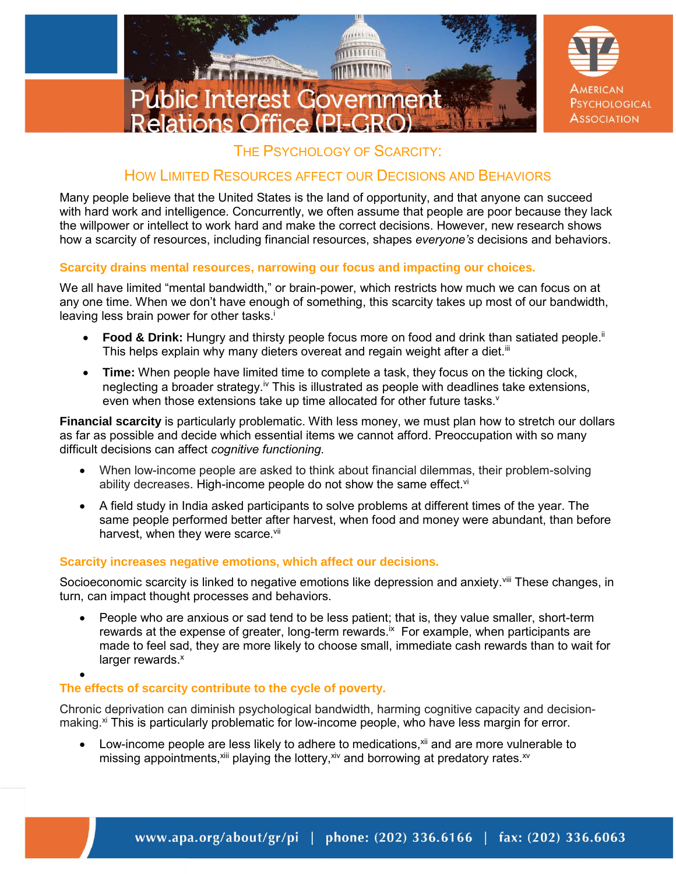

# THE PSYCHOLOGY OF SCARCITY:

# HOW LIMITED RESOURCES AFFECT OUR DECISIONS AND BEHAVIORS

Many people believe that the United States is the land of opportunity, and that anyone can succeed with hard work and intelligence. Concurrently, we often assume that people are poor because they lack the willpower or intellect to work hard and make the correct decisions. However, new research shows how a scarcity of resources, including financial resources, shapes *everyone's* decisions and behaviors.

## **Scarcity drains mental resources, narrowing our focus and impacting our choices.**

We all have limited "mental bandwidth," or brain-power, which restricts how much we can focus on at any one time. When we don't have enough of something, this scarcity takes up most of our bandwidth, leaving less brain power for other tasks.<sup>i</sup>

- Food & Drink: Hungry and thirsty people focus more on food and drink than satiated people.<sup>ii</sup> This helps explain why many dieters overeat and regain weight after a diet.<sup>iii</sup>
- **Time:** When people have limited time to complete a task, they focus on the ticking clock, neglecting a broader strategy.<sup>iv</sup> This is illustrated as people with deadlines take extensions, even when those extensions take up time allocated for other future tasks.<sup>v</sup>

**Financial scarcity** is particularly problematic. With less money, we must plan how to stretch our dollars as far as possible and decide which essential items we cannot afford. Preoccupation with so many difficult decisions can affect *cognitive functioning.*

- When low-income people are asked to think about financial dilemmas, their problem-solving ability decreases. High-income people do not show the same effect. $vi$
- A field study in India asked participants to solve problems at different times of the year. The same people performed better after harvest, when food and money were abundant, than before harvest, when they were scarce.<sup>vii</sup>

## **Scarcity increases negative emotions, which affect our decisions.**

Socioeconomic scarcity is linked to negative emotions like depression and anxiety. Vill These changes, in turn, can impact thought processes and behaviors.

 People who are anxious or sad tend to be less patient; that is, they value smaller, short-term rewards at the expense of greater, long-term rewards.<sup>ix</sup> For example, when participants are made to feel sad, they are more likely to choose small, immediate cash rewards than to wait for larger rewards.<sup>x</sup>

#### $\bullet$ **The effects of scarcity contribute to the cycle of poverty.**

Chronic deprivation can diminish psychological bandwidth, harming cognitive capacity and decisionmaking.<sup>xi</sup> This is particularly problematic for low-income people, who have less margin for error.

Low-income people are less likely to adhere to medications, $x<sup>iii</sup>$  and are more vulnerable to missing appointments,  $x$ iii playing the lottery,  $x$ iv and borrowing at predatory rates.  $x$